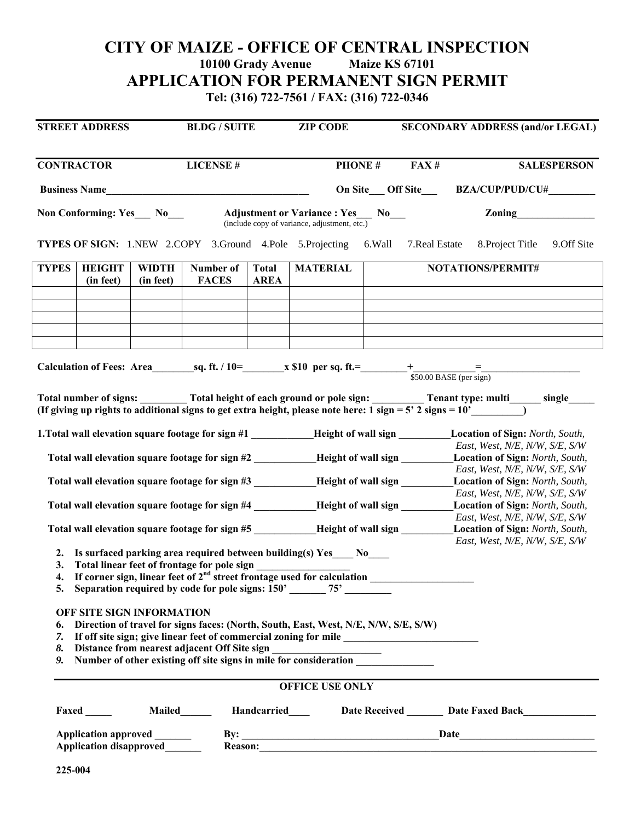## **CITY OF MAIZE - OFFICE OF CENTRAL INSPECTION**<br>10100 Grady Avenue Maize KS 67101 **10100 Grady Avenue APPLICATION FOR PERMANENT SIGN PERMIT**

**Tel: (316) 722-7561 / FAX: (316) 722-0346** 

| <b>STREET ADDRESS</b>                                                                 |                                                                                       | <b>BLDG / SUITE</b>       |                                                                                  | <b>ZIP CODE</b>             |                                                                                                                                                                                                                                               | <b>SECONDARY ADDRESS (and/or LEGAL)</b> |                            |                                                                                                                                                                                                                                                      |  |  |  |
|---------------------------------------------------------------------------------------|---------------------------------------------------------------------------------------|---------------------------|----------------------------------------------------------------------------------|-----------------------------|-----------------------------------------------------------------------------------------------------------------------------------------------------------------------------------------------------------------------------------------------|-----------------------------------------|----------------------------|------------------------------------------------------------------------------------------------------------------------------------------------------------------------------------------------------------------------------------------------------|--|--|--|
| <b>CONTRACTOR</b><br>Business Name                                                    |                                                                                       |                           | <b>LICENSE#</b>                                                                  |                             | <b>PHONE#</b>                                                                                                                                                                                                                                 |                                         | <b>SALESPERSON</b><br>FAX# |                                                                                                                                                                                                                                                      |  |  |  |
|                                                                                       |                                                                                       |                           |                                                                                  |                             |                                                                                                                                                                                                                                               |                                         |                            | On Site Off Site BZA/CUP/PUD/CU#                                                                                                                                                                                                                     |  |  |  |
|                                                                                       | Non Conforming: Yes_ No___                                                            |                           |                                                                                  |                             | <b>Adjustment or Variance : Yes No</b><br>(include copy of variance, adjustment, etc.)                                                                                                                                                        |                                         |                            |                                                                                                                                                                                                                                                      |  |  |  |
|                                                                                       |                                                                                       |                           |                                                                                  |                             |                                                                                                                                                                                                                                               |                                         |                            | <b>TYPES OF SIGN:</b> 1.NEW 2.COPY 3.Ground 4.Pole 5.Projecting 6.Wall 7.Real Estate 8.Project Title 9.Off Site                                                                                                                                      |  |  |  |
| <b>TYPES</b>                                                                          | <b>HEIGHT</b><br>(in feet)                                                            | <b>WIDTH</b><br>(in feet) | Number of<br><b>FACES</b>                                                        | <b>Total</b><br><b>AREA</b> | <b>MATERIAL</b>                                                                                                                                                                                                                               |                                         |                            | NOTATIONS/PERMIT#                                                                                                                                                                                                                                    |  |  |  |
|                                                                                       |                                                                                       |                           |                                                                                  |                             |                                                                                                                                                                                                                                               |                                         |                            |                                                                                                                                                                                                                                                      |  |  |  |
|                                                                                       |                                                                                       |                           |                                                                                  |                             |                                                                                                                                                                                                                                               |                                         |                            |                                                                                                                                                                                                                                                      |  |  |  |
|                                                                                       |                                                                                       |                           |                                                                                  |                             |                                                                                                                                                                                                                                               |                                         |                            |                                                                                                                                                                                                                                                      |  |  |  |
|                                                                                       |                                                                                       |                           |                                                                                  |                             |                                                                                                                                                                                                                                               |                                         |                            |                                                                                                                                                                                                                                                      |  |  |  |
|                                                                                       |                                                                                       |                           |                                                                                  |                             |                                                                                                                                                                                                                                               |                                         |                            | Total number of signs: _________ Total height of each ground or pole sign: __________ Tenant type: multi______ single<br>(If giving up rights to additional signs to get extra height, please note here: $1 \text{ sign} = 5' 2 \text{ signs} = 10'$ |  |  |  |
|                                                                                       |                                                                                       |                           |                                                                                  |                             |                                                                                                                                                                                                                                               |                                         |                            | 1. Total wall elevation square footage for sign #1 __________Height of wall sign ________Location of Sign: North, South,<br>East, West, N/E, N/W, S/E, S/W                                                                                           |  |  |  |
| Total wall elevation square footage for sign #2 __________Height of wall sign _______ |                                                                                       |                           |                                                                                  |                             |                                                                                                                                                                                                                                               | Location of Sign: North, South,         |                            |                                                                                                                                                                                                                                                      |  |  |  |
|                                                                                       | Total wall elevation square footage for sign #3 __________Height of wall sign _______ |                           |                                                                                  |                             |                                                                                                                                                                                                                                               |                                         |                            | East, West, N/E, N/W, S/E, S/W<br>Location of Sign: North, South,                                                                                                                                                                                    |  |  |  |
|                                                                                       | Total wall elevation square footage for sign #4 __________Height of wall sign _______ |                           |                                                                                  |                             |                                                                                                                                                                                                                                               |                                         |                            | East, West, N/E, N/W, S/E, S/W<br>Location of Sign: North, South,                                                                                                                                                                                    |  |  |  |
|                                                                                       |                                                                                       |                           |                                                                                  |                             | Total wall elevation square footage for sign #5 _________Height of wall sign ______                                                                                                                                                           |                                         |                            | East, West, N/E, N/W, S/E, S/W<br>Location of Sign: North, South,                                                                                                                                                                                    |  |  |  |
|                                                                                       |                                                                                       |                           |                                                                                  |                             | 2. Is surfaced parking area required between building(s) Yes ____ No____                                                                                                                                                                      |                                         |                            | East, West, N/E, N/W, S/E, S/W                                                                                                                                                                                                                       |  |  |  |
|                                                                                       |                                                                                       |                           | 3. Total linear feet of frontage for pole sign _________________________________ |                             |                                                                                                                                                                                                                                               |                                         |                            |                                                                                                                                                                                                                                                      |  |  |  |
|                                                                                       |                                                                                       |                           |                                                                                  |                             | 4. If corner sign, linear feet of $2nd$ street frontage used for calculation<br>5. Separation required by code for pole signs: 150'______75'_________                                                                                         |                                         |                            |                                                                                                                                                                                                                                                      |  |  |  |
| 7.<br>8.<br>9.                                                                        | OFF SITE SIGN INFORMATION                                                             |                           | Distance from nearest adjacent Off Site sign                                     |                             | Direction of travel for signs faces: (North, South, East, West, N/E, N/W, S/E, S/W)<br>If off site sign; give linear feet of commercial zoning for mile ________________<br>Number of other existing off site signs in mile for consideration |                                         |                            |                                                                                                                                                                                                                                                      |  |  |  |
|                                                                                       |                                                                                       |                           |                                                                                  |                             | <b>OFFICE USE ONLY</b>                                                                                                                                                                                                                        |                                         |                            |                                                                                                                                                                                                                                                      |  |  |  |
|                                                                                       | Faxed ______                                                                          |                           |                                                                                  |                             |                                                                                                                                                                                                                                               |                                         |                            | Mailed <b>Mailed Example 3 Terms and Careford</b> Date Received League Date Faxed Back League Date Text Back League Date Received League Date Text Back League Date Received League Date Text Back League Date Received League Date                  |  |  |  |
| Application approved ______<br>Application disapproved                                |                                                                                       |                           |                                                                                  |                             |                                                                                                                                                                                                                                               |                                         |                            |                                                                                                                                                                                                                                                      |  |  |  |
| 225-004                                                                               |                                                                                       |                           |                                                                                  |                             |                                                                                                                                                                                                                                               |                                         |                            |                                                                                                                                                                                                                                                      |  |  |  |